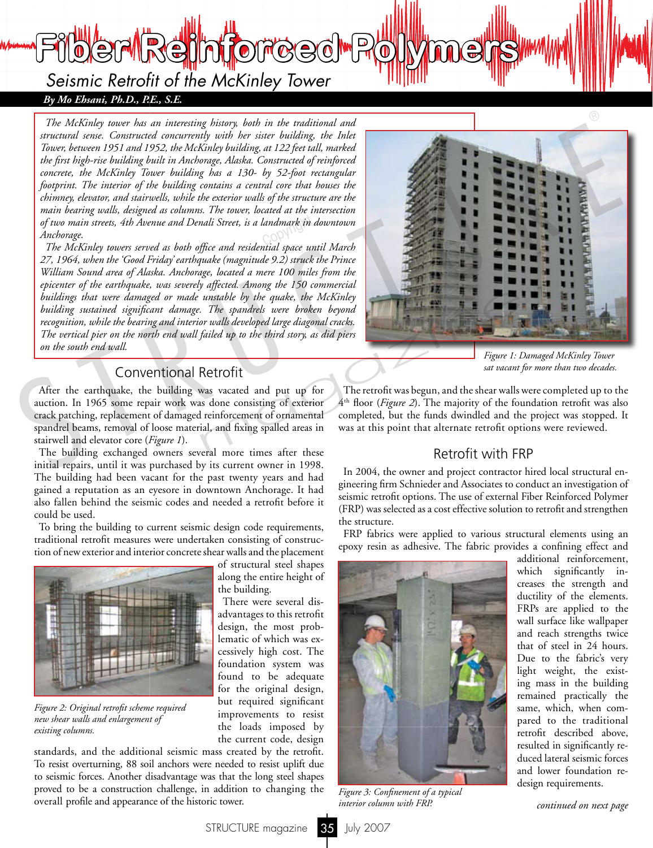*Seismic Retrofit of the McKinley Tower*

**Fiber Reinforced Polymers**

*By Mo Ehsani, Ph.D., P.E., S.E.*

*The McKinley tower has an interesting history, both in the traditional and structural sense. Constructed concurrently with her sister building, the Inlet Tower, between 1951 and 1952, the McKinley building, at 122 feet tall, marked the first high-rise building built in Anchorage, Alaska. Constructed of reinforced concrete, the McKinley Tower building has a 130- by 52-foot rectangular*  footprint. The interior of the building contains a central core that houses the *chimney, elevator, and stairwells, while the exterior walls of the structure are the main bearing walls, designed as columns. The tower, located at the intersection*  of two main streets, 4th Avenue and Denali Street, is a landmark in downtown<br>Anchorage.<br>The Michael March of the deal of Copyright and the state of the deal of the deal of the state of the deal of t *Anchorage.* 

*The McKinley towers served as both office and residential space until March 27, 1964, when the 'Good Friday' earthquake (magnitude 9.2) struck the Prince William Sound area of Alaska. Anchorage, located a mere 100 miles from the epicenter of the earthquake, was severely affected. Among the 150 commercial*  buildings that were damaged or made unstable by the quake, the McKinley *building sustained significant damage. The spandrels were broken beyond recognition, while the bearing and interior walls developed large diagonal cracks. The vertical pier on the north end wall failed up to the third story, as did piers on the south end wall.* 

# Conventional Retrofit

After the earthquake, the building was vacated and put up for auction. In 1965 some repair work was done consisting of exterior crack patching, replacement of damaged reinforcement of ornamental spandrel beams, removal of loose material, and fixing spalled areas in stairwell and elevator core (*Figure 1*).

The building exchanged owners several more times after these initial repairs, until it was purchased by its current owner in 1998. The building had been vacant for the past twenty years and had gained a reputation as an eyesore in downtown Anchorage. It had also fallen behind the seismic codes and needed a retrofit before it could be used.

To bring the building to current seismic design code requirements, traditional retrofit measures were undertaken consisting of construction of new exterior and interior concrete shear walls and the placement



*Figure 2: Original retrofit scheme required new shear walls and enlargement of existing columns.*

of structural steel shapes along the entire height of the building.

There were several disadvantages to this retrofit design, the most problematic of which was excessively high cost. The foundation system was found to be adequate for the original design, but required significant improvements to resist the loads imposed by the current code, design

standards, and the additional seismic mass created by the retrofit. To resist overturning, 88 soil anchors were needed to resist uplift due to seismic forces. Another disadvantage was that the long steel shapes proved to be a construction challenge, in addition to changing the overall profile and appearance of the historic tower.



*Figure 1: Damaged McKinley Tower sat vacant for more than two decades.*

The retrofit was begun, and the shear walls were completed up to the 4th floor (*Figure 2*). The majority of the foundation retrofit was also completed, but the funds dwindled and the project was stopped. It was at this point that alternate retrofit options were reviewed.

### Retrofit with FRP

In 2004, the owner and project contractor hired local structural engineering firm Schnieder and Associates to conduct an investigation of seismic retrofit options. The use of external Fiber Reinforced Polymer (FRP) was selected as a cost effective solution to retrofit and strengthen the structure.

FRP fabrics were applied to various structural elements using an epoxy resin as adhesive. The fabric provides a confining effect and



*Figure 3: Confinement of a typical* 

additional reinforcement, which significantly increases the strength and ductility of the elements. FRPs are applied to the wall surface like wallpaper and reach strengths twice that of steel in 24 hours. Due to the fabric's very light weight, the existing mass in the building remained practically the same, which, when compared to the traditional retrofit described above, resulted in significantly reduced lateral seismic forces and lower foundation redesign requirements.

*interior column with FRP. continued on next page*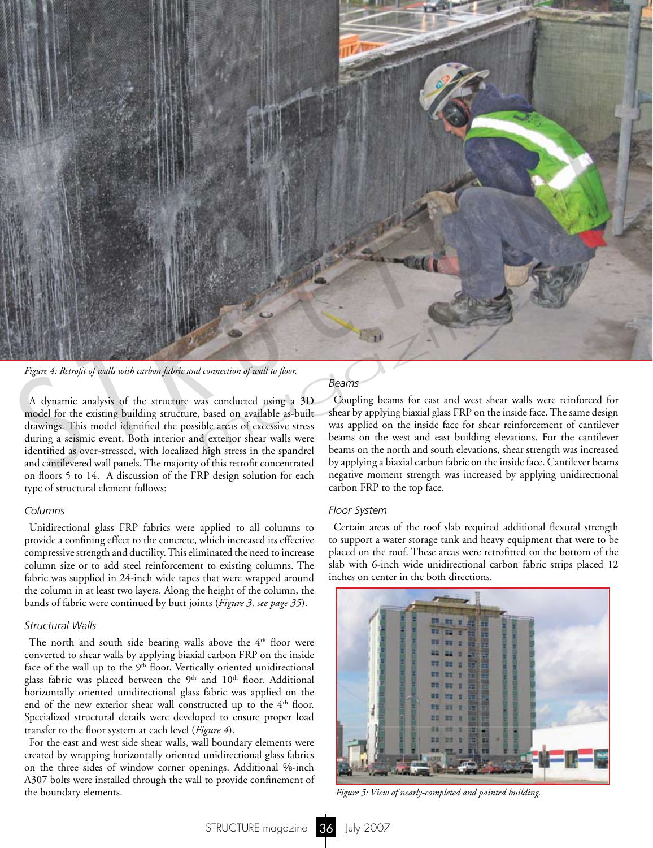

*Figure 4: Retrofit of walls with carbon fabric and connection of wall to floor.*

A dynamic analysis of the structure was conducted using a 3D model for the existing building structure, based on available as-built drawings. This model identified the possible areas of excessive stress during a seismic event. Both interior and exterior shear walls were identified as over-stressed, with localized high stress in the spandrel and cantilevered wall panels. The majority of this retrofit concentrated on floors 5 to 14. A discussion of the FRP design solution for each type of structural element follows:

### *Columns*

Unidirectional glass FRP fabrics were applied to all columns to provide a confining effect to the concrete, which increased its effective compressive strength and ductility. This eliminated the need to increase column size or to add steel reinforcement to existing columns. The fabric was supplied in 24-inch wide tapes that were wrapped around the column in at least two layers. Along the height of the column, the bands of fabric were continued by butt joints (*Figure 3, see page 35*).

### *Structural Walls*

The north and south side bearing walls above the  $4<sup>th</sup>$  floor were converted to shear walls by applying biaxial carbon FRP on the inside face of the wall up to the 9<sup>th</sup> floor. Vertically oriented unidirectional glass fabric was placed between the  $9<sup>th</sup>$  and  $10<sup>th</sup>$  floor. Additional horizontally oriented unidirectional glass fabric was applied on the end of the new exterior shear wall constructed up to the 4<sup>th</sup> floor. Specialized structural details were developed to ensure proper load transfer to the floor system at each level (*Figure 4*).

For the east and west side shear walls, wall boundary elements were created by wrapping horizontally oriented unidirectional glass fabrics on the three sides of window corner openings. Additional 5%-inch A307 bolts were installed through the wall to provide confinement of the boundary elements.

#### *Beams*

Coupling beams for east and west shear walls were reinforced for shear by applying biaxial glass FRP on the inside face. The same design was applied on the inside face for shear reinforcement of cantilever beams on the west and east building elevations. For the cantilever beams on the north and south elevations, shear strength was increased by applying a biaxial carbon fabric on the inside face. Cantilever beams negative moment strength was increased by applying unidirectional carbon FRP to the top face.

#### *Floor System*

Certain areas of the roof slab required additional flexural strength to support a water storage tank and heavy equipment that were to be placed on the roof. These areas were retrofitted on the bottom of the slab with 6-inch wide unidirectional carbon fabric strips placed 12 inches on center in the both directions.



*Figure 5: View of nearly-completed and painted building.*